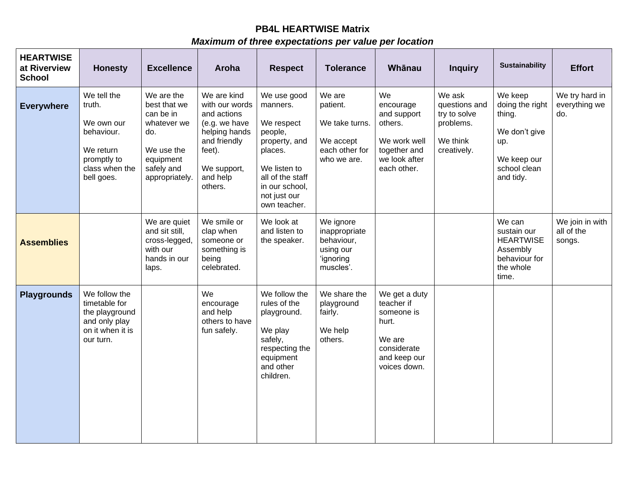## **PB4L HEARTWISE Matrix**

## *Maximum of three expectations per value per location*

| <b>HEARTWISE</b><br>at Riverview<br><b>School</b> | <b>Honesty</b>                                                                                                | <b>Excellence</b>                                                                                                        | Aroha                                                                                                                                          | <b>Respect</b>                                                                                                                                                     | <b>Tolerance</b>                                                                   | Whānau                                                                                                      | <b>Inquiry</b>                                                                  | <b>Sustainability</b>                                                                                    | <b>Effort</b>                           |
|---------------------------------------------------|---------------------------------------------------------------------------------------------------------------|--------------------------------------------------------------------------------------------------------------------------|------------------------------------------------------------------------------------------------------------------------------------------------|--------------------------------------------------------------------------------------------------------------------------------------------------------------------|------------------------------------------------------------------------------------|-------------------------------------------------------------------------------------------------------------|---------------------------------------------------------------------------------|----------------------------------------------------------------------------------------------------------|-----------------------------------------|
| <b>Everywhere</b>                                 | We tell the<br>truth.<br>We own our<br>behaviour.<br>We return<br>promptly to<br>class when the<br>bell goes. | We are the<br>best that we<br>can be in<br>whatever we<br>do.<br>We use the<br>equipment<br>safely and<br>appropriately. | We are kind<br>with our words<br>and actions<br>(e.g. we have<br>helping hands<br>and friendly<br>feet).<br>We support,<br>and help<br>others. | We use good<br>manners.<br>We respect<br>people,<br>property, and<br>places.<br>We listen to<br>all of the staff<br>in our school,<br>not just our<br>own teacher. | We are<br>patient.<br>We take turns.<br>We accept<br>each other for<br>who we are. | We<br>encourage<br>and support<br>others.<br>We work well<br>together and<br>we look after<br>each other.   | We ask<br>questions and<br>try to solve<br>problems.<br>We think<br>creatively. | We keep<br>doing the right<br>thing.<br>We don't give<br>up.<br>We keep our<br>school clean<br>and tidy. | We try hard in<br>everything we<br>do.  |
| <b>Assemblies</b>                                 |                                                                                                               | We are quiet<br>and sit still,<br>cross-legged,<br>with our<br>hands in our<br>laps.                                     | We smile or<br>clap when<br>someone or<br>something is<br>being<br>celebrated.                                                                 | We look at<br>and listen to<br>the speaker.                                                                                                                        | We ignore<br>inappropriate<br>behaviour,<br>using our<br>'ignoring<br>muscles'.    |                                                                                                             |                                                                                 | We can<br>sustain our<br><b>HEARTWISE</b><br>Assembly<br>behaviour for<br>the whole<br>time.             | We join in with<br>all of the<br>songs. |
| <b>Playgrounds</b>                                | We follow the<br>timetable for<br>the playground<br>and only play<br>on it when it is<br>our turn.            |                                                                                                                          | We<br>encourage<br>and help<br>others to have<br>fun safely.                                                                                   | We follow the<br>rules of the<br>playground.<br>We play<br>safely,<br>respecting the<br>equipment<br>and other<br>children.                                        | We share the<br>playground<br>fairly.<br>We help<br>others.                        | We get a duty<br>teacher if<br>someone is<br>hurt.<br>We are<br>considerate<br>and keep our<br>voices down. |                                                                                 |                                                                                                          |                                         |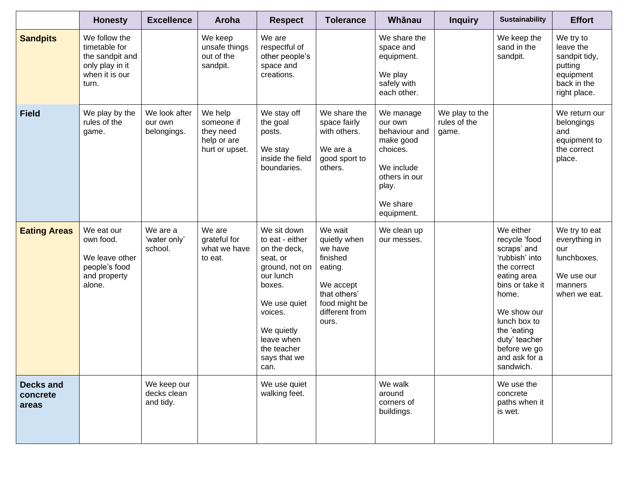|                                       | <b>Honesty</b>                                                                                  | <b>Excellence</b>                       | Aroha                                                               | <b>Respect</b>                                                                                                                                                                                    | <b>Tolerance</b>                                                                                                                   | Whānau                                                                                                                           | <b>Inquiry</b>                          | <b>Sustainability</b>                                                                                                                                                                                                              | <b>Effort</b>                                                                                  |
|---------------------------------------|-------------------------------------------------------------------------------------------------|-----------------------------------------|---------------------------------------------------------------------|---------------------------------------------------------------------------------------------------------------------------------------------------------------------------------------------------|------------------------------------------------------------------------------------------------------------------------------------|----------------------------------------------------------------------------------------------------------------------------------|-----------------------------------------|------------------------------------------------------------------------------------------------------------------------------------------------------------------------------------------------------------------------------------|------------------------------------------------------------------------------------------------|
| <b>Sandpits</b>                       | We follow the<br>timetable for<br>the sandpit and<br>only play in it<br>when it is our<br>turn. |                                         | We keep<br>unsafe things<br>out of the<br>sandpit.                  | We are<br>respectful of<br>other people's<br>space and<br>creations.                                                                                                                              |                                                                                                                                    | We share the<br>space and<br>equipment.<br>We play<br>safely with<br>each other.                                                 |                                         | We keep the<br>sand in the<br>sandpit.                                                                                                                                                                                             | We try to<br>leave the<br>sandpit tidy,<br>putting<br>equipment<br>back in the<br>right place. |
| <b>Field</b>                          | We play by the<br>rules of the<br>game.                                                         | We look after<br>our own<br>belongings. | We help<br>someone if<br>they need<br>help or are<br>hurt or upset. | We stay off<br>the goal<br>posts.<br>We stay<br>inside the field<br>boundaries.                                                                                                                   | We share the<br>space fairly<br>with others.<br>We are a<br>good sport to<br>others.                                               | We manage<br>our own<br>behaviour and<br>make good<br>choices.<br>We include<br>others in our<br>play.<br>We share<br>equipment. | We play to the<br>rules of the<br>game. |                                                                                                                                                                                                                                    | We return our<br>belongings<br>and<br>equipment to<br>the correct<br>place.                    |
| <b>Eating Areas</b>                   | We eat our<br>own food.<br>We leave other<br>people's food<br>and property<br>alone.            | We are a<br>'water only'<br>school.     | We are<br>grateful for<br>what we have<br>to eat.                   | We sit down<br>to eat - either<br>on the deck,<br>seat, or<br>ground, not on<br>our lunch<br>boxes.<br>We use quiet<br>voices.<br>We quietly<br>leave when<br>the teacher<br>says that we<br>can. | We wait<br>quietly when<br>we have<br>finished<br>eating.<br>We accept<br>that others'<br>food might be<br>different from<br>ours. | We clean up<br>our messes.                                                                                                       |                                         | We either<br>recycle 'food<br>scraps' and<br>'rubbish' into<br>the correct<br>eating area<br>bins or take it<br>home.<br>We show our<br>lunch box to<br>the 'eating<br>duty' teacher<br>before we go<br>and ask for a<br>sandwich. | We try to eat<br>everything in<br>our<br>lunchboxes.<br>We use our<br>manners<br>when we eat.  |
| <b>Decks and</b><br>concrete<br>areas |                                                                                                 | We keep our<br>decks clean<br>and tidy. |                                                                     | We use quiet<br>walking feet.                                                                                                                                                                     |                                                                                                                                    | We walk<br>around<br>corners of<br>buildings.                                                                                    |                                         | We use the<br>concrete<br>paths when it<br>is wet.                                                                                                                                                                                 |                                                                                                |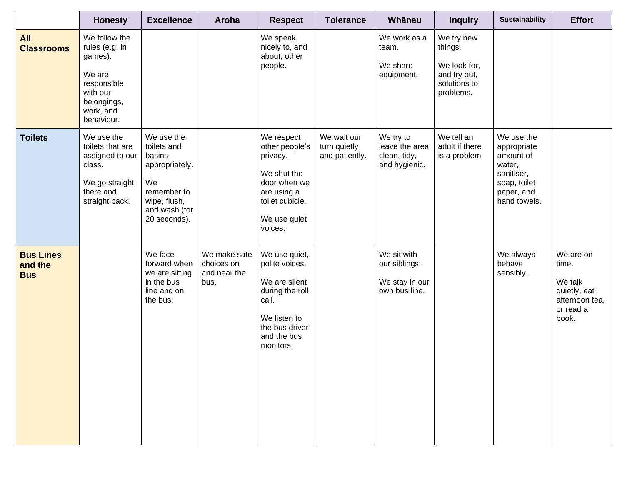|                                           | <b>Honesty</b>                                                                                                            | <b>Excellence</b>                                                                                                           | Aroha                                              | <b>Respect</b>                                                                                                                             | <b>Tolerance</b>                              | Whānau                                                          | <b>Inquiry</b>                                                                     | <b>Sustainability</b>                                                                                        | <b>Effort</b>                                                                         |
|-------------------------------------------|---------------------------------------------------------------------------------------------------------------------------|-----------------------------------------------------------------------------------------------------------------------------|----------------------------------------------------|--------------------------------------------------------------------------------------------------------------------------------------------|-----------------------------------------------|-----------------------------------------------------------------|------------------------------------------------------------------------------------|--------------------------------------------------------------------------------------------------------------|---------------------------------------------------------------------------------------|
| <b>All</b><br><b>Classrooms</b>           | We follow the<br>rules (e.g. in<br>games).<br>We are<br>responsible<br>with our<br>belongings,<br>work, and<br>behaviour. |                                                                                                                             |                                                    | We speak<br>nicely to, and<br>about, other<br>people.                                                                                      |                                               | We work as a<br>team.<br>We share<br>equipment.                 | We try new<br>things.<br>We look for,<br>and try out,<br>solutions to<br>problems. |                                                                                                              |                                                                                       |
| <b>Toilets</b>                            | We use the<br>toilets that are<br>assigned to our<br>class.<br>We go straight<br>there and<br>straight back.              | We use the<br>toilets and<br>basins<br>appropriately.<br>We<br>remember to<br>wipe, flush,<br>and wash (for<br>20 seconds). |                                                    | We respect<br>other people's<br>privacy.<br>We shut the<br>door when we<br>are using a<br>toilet cubicle.<br>We use quiet<br>voices.       | We wait our<br>turn quietly<br>and patiently. | We try to<br>leave the area<br>clean, tidy,<br>and hygienic.    | We tell an<br>adult if there<br>is a problem.                                      | We use the<br>appropriate<br>amount of<br>water,<br>sanitiser,<br>soap, toilet<br>paper, and<br>hand towels. |                                                                                       |
| <b>Bus Lines</b><br>and the<br><b>Bus</b> |                                                                                                                           | We face<br>forward when<br>we are sitting<br>in the bus<br>line and on<br>the bus.                                          | We make safe<br>choices on<br>and near the<br>bus. | We use quiet,<br>polite voices.<br>We are silent<br>during the roll<br>call.<br>We listen to<br>the bus driver<br>and the bus<br>monitors. |                                               | We sit with<br>our siblings.<br>We stay in our<br>own bus line. |                                                                                    | We always<br>behave<br>sensibly.                                                                             | We are on<br>time.<br>We talk<br>quietly, eat<br>afternoon tea,<br>or read a<br>book. |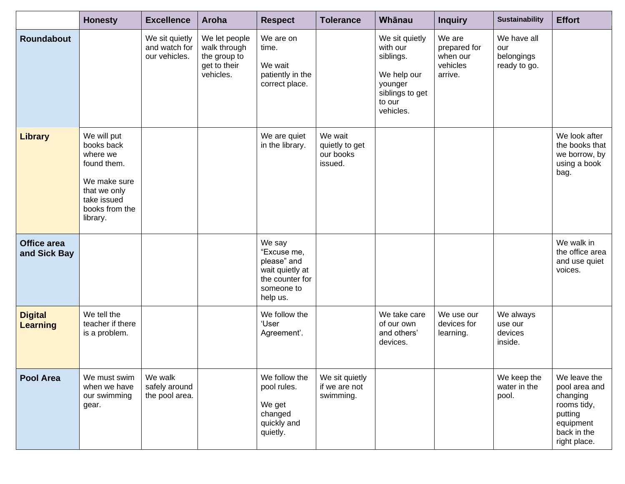|                                   | <b>Honesty</b>                                                                                                                    | <b>Excellence</b>                                | Aroha                                                                      | <b>Respect</b>                                                                                       | <b>Tolerance</b>                                  | Whānau                                                                                                      | <b>Inquiry</b>                                            | <b>Sustainability</b>                            | <b>Effort</b>                                                                                                   |
|-----------------------------------|-----------------------------------------------------------------------------------------------------------------------------------|--------------------------------------------------|----------------------------------------------------------------------------|------------------------------------------------------------------------------------------------------|---------------------------------------------------|-------------------------------------------------------------------------------------------------------------|-----------------------------------------------------------|--------------------------------------------------|-----------------------------------------------------------------------------------------------------------------|
| <b>Roundabout</b>                 |                                                                                                                                   | We sit quietly<br>and watch for<br>our vehicles. | We let people<br>walk through<br>the group to<br>get to their<br>vehicles. | We are on<br>time.<br>We wait<br>patiently in the<br>correct place.                                  |                                                   | We sit quietly<br>with our<br>siblings.<br>We help our<br>younger<br>siblings to get<br>to our<br>vehicles. | We are<br>prepared for<br>when our<br>vehicles<br>arrive. | We have all<br>our<br>belongings<br>ready to go. |                                                                                                                 |
| <b>Library</b>                    | We will put<br>books back<br>where we<br>found them.<br>We make sure<br>that we only<br>take issued<br>books from the<br>library. |                                                  |                                                                            | We are quiet<br>in the library.                                                                      | We wait<br>quietly to get<br>our books<br>issued. |                                                                                                             |                                                           |                                                  | We look after<br>the books that<br>we borrow, by<br>using a book<br>bag.                                        |
| Office area<br>and Sick Bay       |                                                                                                                                   |                                                  |                                                                            | We say<br>"Excuse me,<br>please" and<br>wait quietly at<br>the counter for<br>someone to<br>help us. |                                                   |                                                                                                             |                                                           |                                                  | We walk in<br>the office area<br>and use quiet<br>voices.                                                       |
| <b>Digital</b><br><b>Learning</b> | We tell the<br>teacher if there<br>is a problem.                                                                                  |                                                  |                                                                            | We follow the<br>'User<br>Agreement'.                                                                |                                                   | We take care<br>of our own<br>and others'<br>devices.                                                       | We use our<br>devices for<br>learning.                    | We always<br>use our<br>devices<br>inside.       |                                                                                                                 |
| <b>Pool Area</b>                  | We must swim<br>when we have<br>our swimming<br>gear.                                                                             | We walk<br>safely around<br>the pool area.       |                                                                            | We follow the<br>pool rules.<br>We get<br>changed<br>quickly and<br>quietly.                         | We sit quietly<br>if we are not<br>swimming.      |                                                                                                             |                                                           | We keep the<br>water in the<br>pool.             | We leave the<br>pool area and<br>changing<br>rooms tidy,<br>putting<br>equipment<br>back in the<br>right place. |